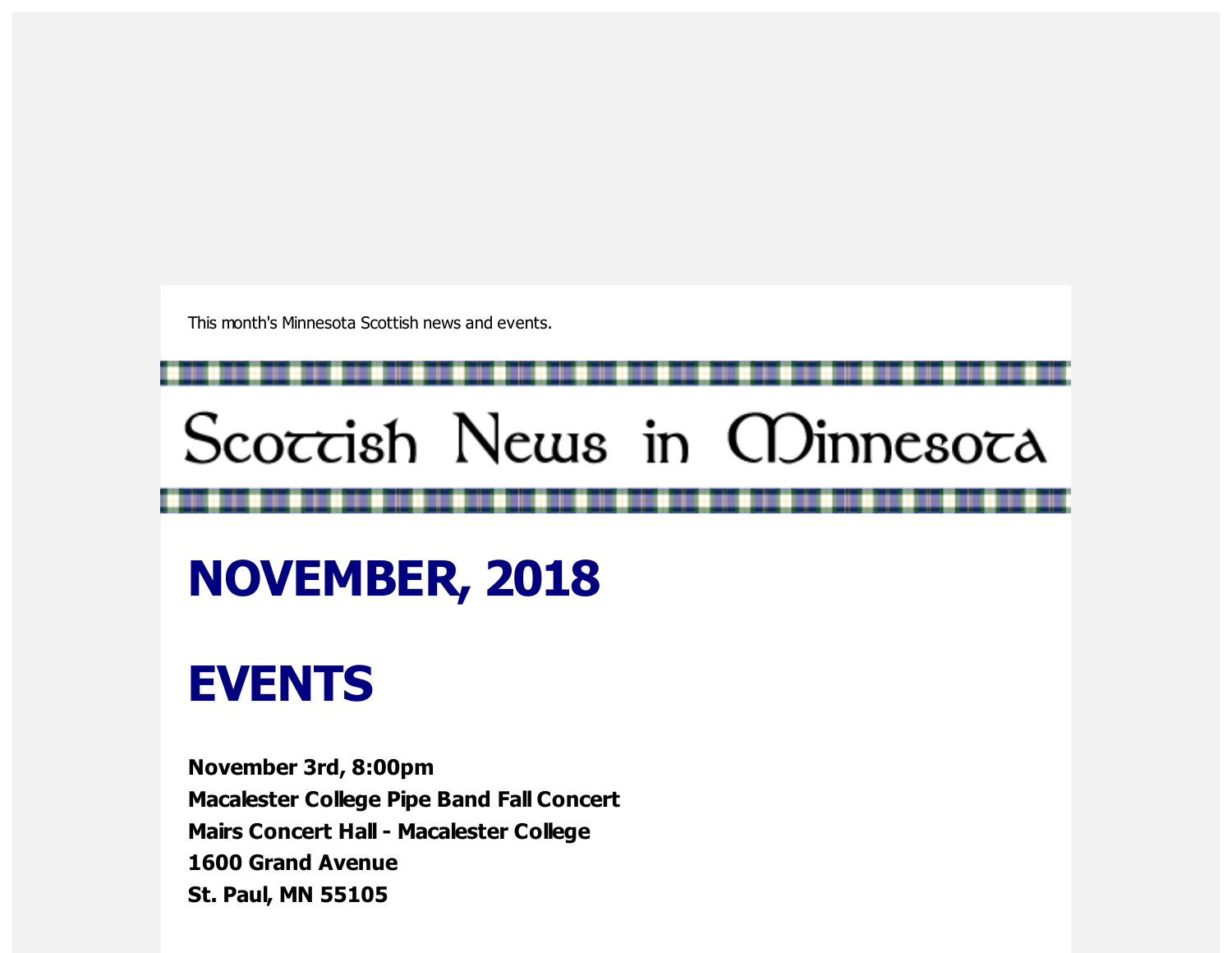This month's Minnesota Scottish news and events.

# Scoccish News in CDinnesoca

## **NOVEMBER, 2018**

### **EVENTS**

**November 3rd, 8:00pm Macalester College Pipe Band Fall Concert Mairs Concert Hall - Macalester College 1600 Grand Avenue St. Paul, MN 55105**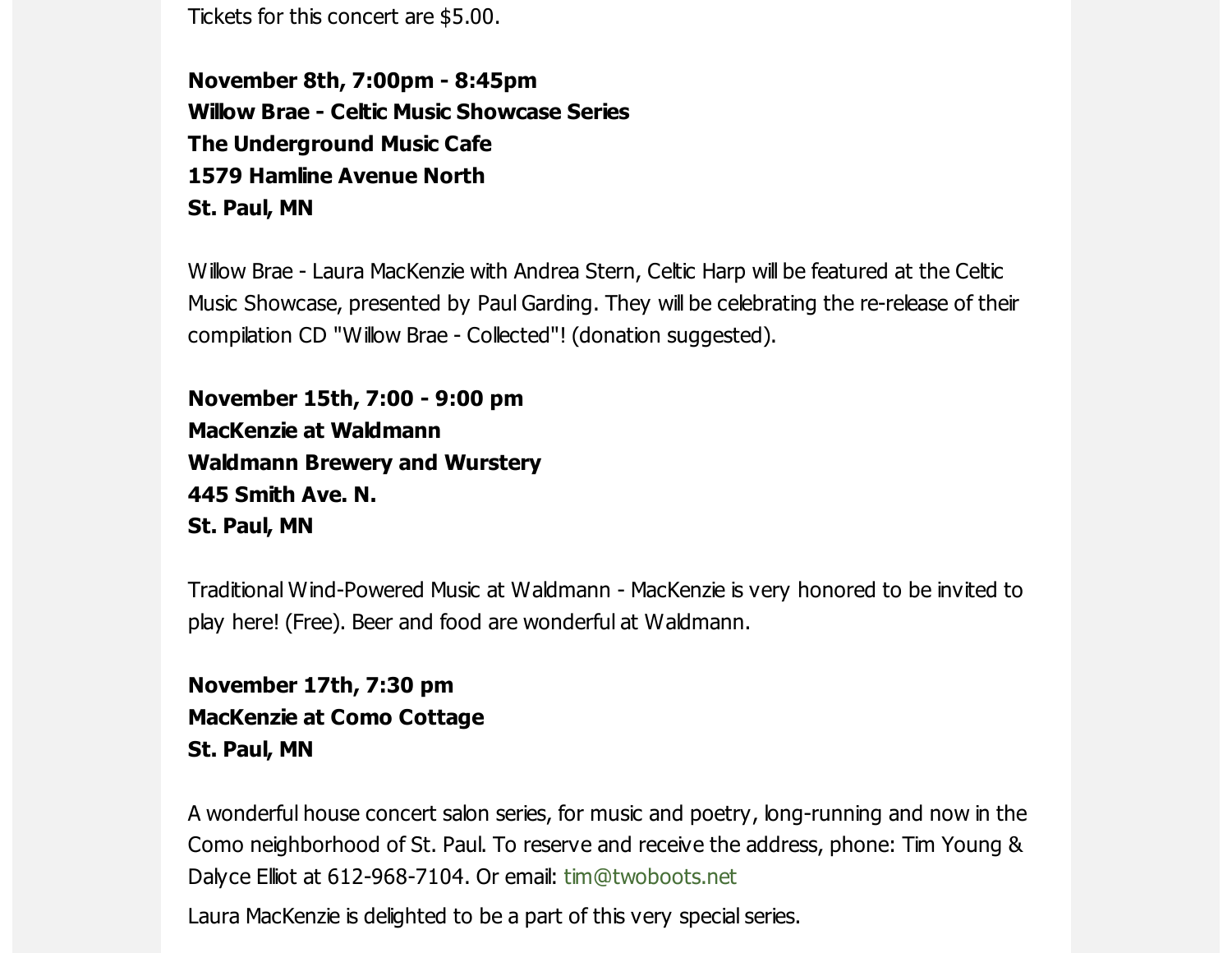Tickets for this concert are \$5.00.

**November 8th, 7:00pm - 8:45pm Willow Brae - Celtic Music Showcase Series The Underground Music Cafe 1579 Hamline Avenue North St. Paul, MN**

Willow Brae - Laura MacKenzie with Andrea Stern, Celtic Harp will be featured at the Celtic Music Showcase, presented by Paul Garding. They will be celebrating the re-release of their compilation CD "Willow Brae - Collected"! (donation suggested).

**November 15th, 7:00 - 9:00 pm MacKenzie at Waldmann Waldmann Brewery and Wurstery 445 Smith Ave. N. St. Paul, MN**

Traditional Wind-Powered Music at Waldmann - MacKenzie is very honored to be invited to play here! (Free). Beer and food are wonderful at Waldmann.

**November 17th, 7:30 pm MacKenzie at Como Cottage St. Paul, MN**

A wonderful house concert salon series, for music and poetry, long-running and now in the Como neighborhood of St. Paul. To reserve and receive the address, phone: Tim Young & Dalyce Elliot at 612-968-7104. Or email: [tim@twoboots.net](mailto:tim@twoboots.net)

Laura MacKenzie is delighted to be a part of this very special series.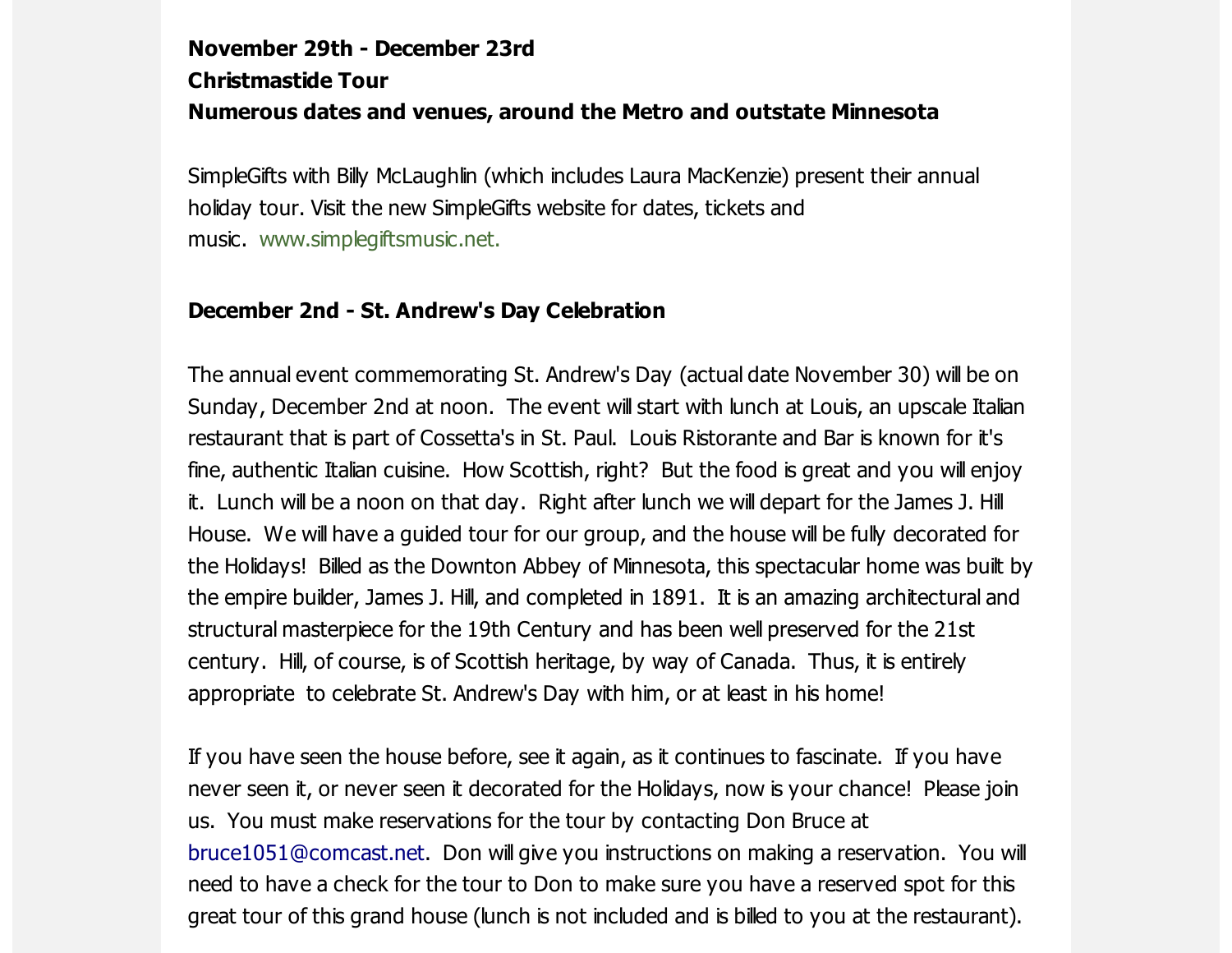#### **November 29th - December 23rd Christmastide Tour Numerous dates and venues, around the Metro and outstate Minnesota**

SimpleGifts with Billy McLaughlin (which includes Laura MacKenzie) present their annual holiday tour. Visit the new SimpleGifts website for dates, tickets and music. [www.simplegiftsmusic.net.](https://scottishamericancentermn.us10.list-manage.com/track/click?u=2fe4099001736ac4b948473e4&id=56845b736d&e=6b0ba04b53)

#### **December 2nd - St. Andrew's Day Celebration**

The annual event commemorating St. Andrew's Day (actual date November 30) will be on Sunday, December 2nd at noon. The event will start with lunch at Louis, an upscale Italian restaurant that is part of Cossetta's in St. Paul. Louis Ristorante and Bar is known for it's fine, authentic Italian cuisine. How Scottish, right? But the food is great and you will enjoy it. Lunch will be a noon on that day. Right after lunch we will depart for the James J. Hill House. We will have a guided tour for our group, and the house will be fully decorated for the Holidays! Billed as the Downton Abbey of Minnesota, this spectacular home was built by the empire builder, James J. Hill, and completed in 1891. It is an amazing architectural and structural masterpiece for the 19th Century and has been well preserved for the 21st century. Hill, of course, is of Scottish heritage, by way of Canada. Thus, it is entirely appropriate to celebrate St. Andrew's Day with him, or at least in his home!

If you have seen the house before, see it again, as it continues to fascinate. If you have never seen it, or never seen it decorated for the Holidays, now is your chance! Please join us. You must make reservations for the tour by contacting Don Bruce at [bruce1051@comcast.net](https://scottishamericancentermn.us10.list-manage.com/track/click?u=2fe4099001736ac4b948473e4&id=c7867e7b3c&e=6b0ba04b53). Don will give you instructions on making a reservation. You will need to have a check for the tour to Don to make sure you have a reserved spot for this great tour of this grand house (lunch is not included and is billed to you at the restaurant).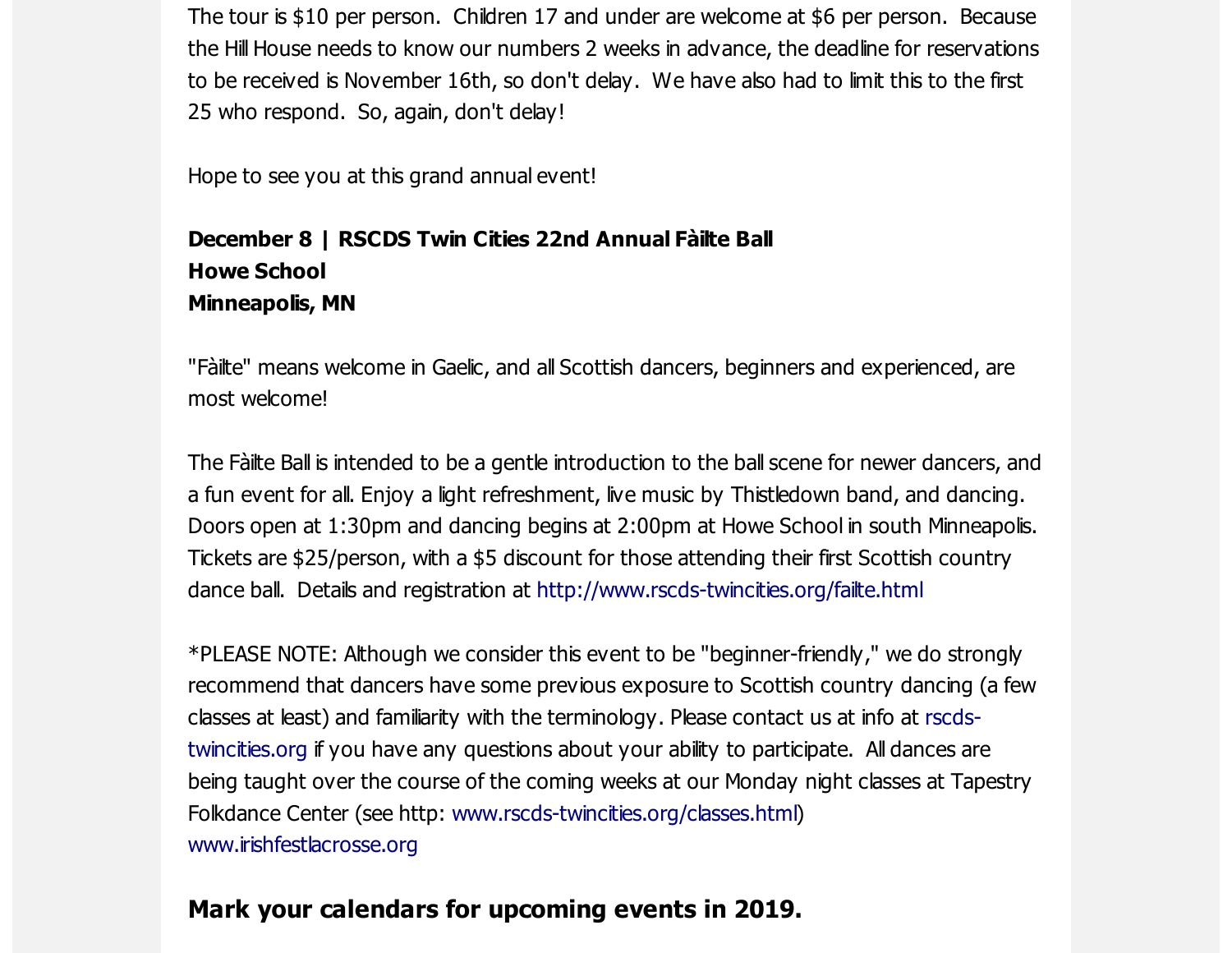The tour is \$10 per person. Children 17 and under are welcome at \$6 per person. Because the Hill House needs to know our numbers 2 weeks in advance, the deadline for reservations to be received is November 16th, so don't delay. We have also had to limit this to the first 25 who respond. So, again, don't delay!

Hope to see you at this grand annual event!

#### **December 8 | RSCDS Twin Cities 22nd Annual Fàilte Ball Howe School Minneapolis, MN**

"Fàilte" means welcome in Gaelic, and all Scottish dancers, beginners and experienced, are most welcome!

The Fàilte Ball is intended to be a gentle introduction to the ball scene for newer dancers, and a fun event for all. Enjoy a light refreshment, live music by Thistledown band, and dancing. Doors open at 1:30pm and dancing begins at 2:00pm at Howe School in south Minneapolis. Tickets are \$25/person, with a \$5 discount for those attending their first Scottish country dance ball. Details and registration at [http://www.rscds-twincities.org/failte.html](https://scottishamericancentermn.us10.list-manage.com/track/click?u=2fe4099001736ac4b948473e4&id=9738a02ef1&e=6b0ba04b53)

\*PLEASE NOTE: Although we consider this event to be "beginner-friendly," we do strongly recommend that dancers have some previous exposure to Scottish country dancing (a few classes at least) and familiarity with the terminology. Please contact us at info at rscds[twincities.org](https://scottishamericancentermn.us10.list-manage.com/track/click?u=2fe4099001736ac4b948473e4&id=0d200afbca&e=6b0ba04b53) if you have any questions about your ability to participate. All dances are being taught over the course of the coming weeks at our Monday night classes at Tapestry Folkdance Center (see http: [www.rscds-twincities.org/classes.html\)](https://scottishamericancentermn.us10.list-manage.com/track/click?u=2fe4099001736ac4b948473e4&id=68934486c7&e=6b0ba04b53) [www.irishfestlacrosse.org](https://scottishamericancentermn.us10.list-manage.com/track/click?u=2fe4099001736ac4b948473e4&id=4586f54a0d&e=6b0ba04b53)

#### **Mark your calendars for upcoming events in 2019.**